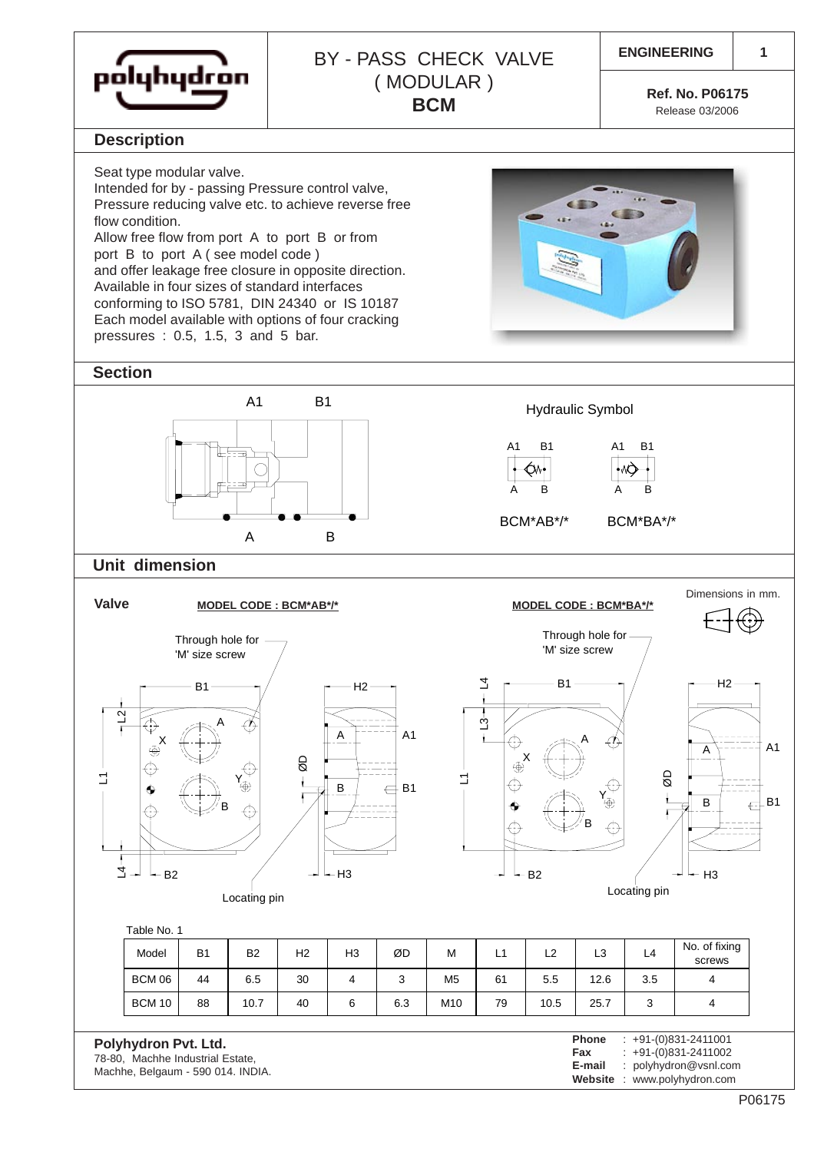

## **ENGINEERING** BY - PASS CHECK VALVE ( MODULAR ) **BCM Ref. No. P06175**

 $6.3$ 

**1**

Release 03/2006

#### **Description**

Seat type modular valve.

Intended for by - passing Pressure control valve, Pressure reducing valve etc. to achieve reverse free flow condition. Allow free flow from port A to port B or from port B to port A ( see model code ) and offer leakage free closure in opposite direction. Available in four sizes of standard interfaces conforming to ISO 5781, DIN 24340 or IS 10187 Each model available with options of four cracking pressures : 0.5, 1.5, 3 and 5 bar.

### **Section**

Hydraulic Symbol A A1 B1 B A1 A B1 B BCM\*AB\*/\* A B A1 B1 BCM\*BA\*/\*

### **Unit dimension**

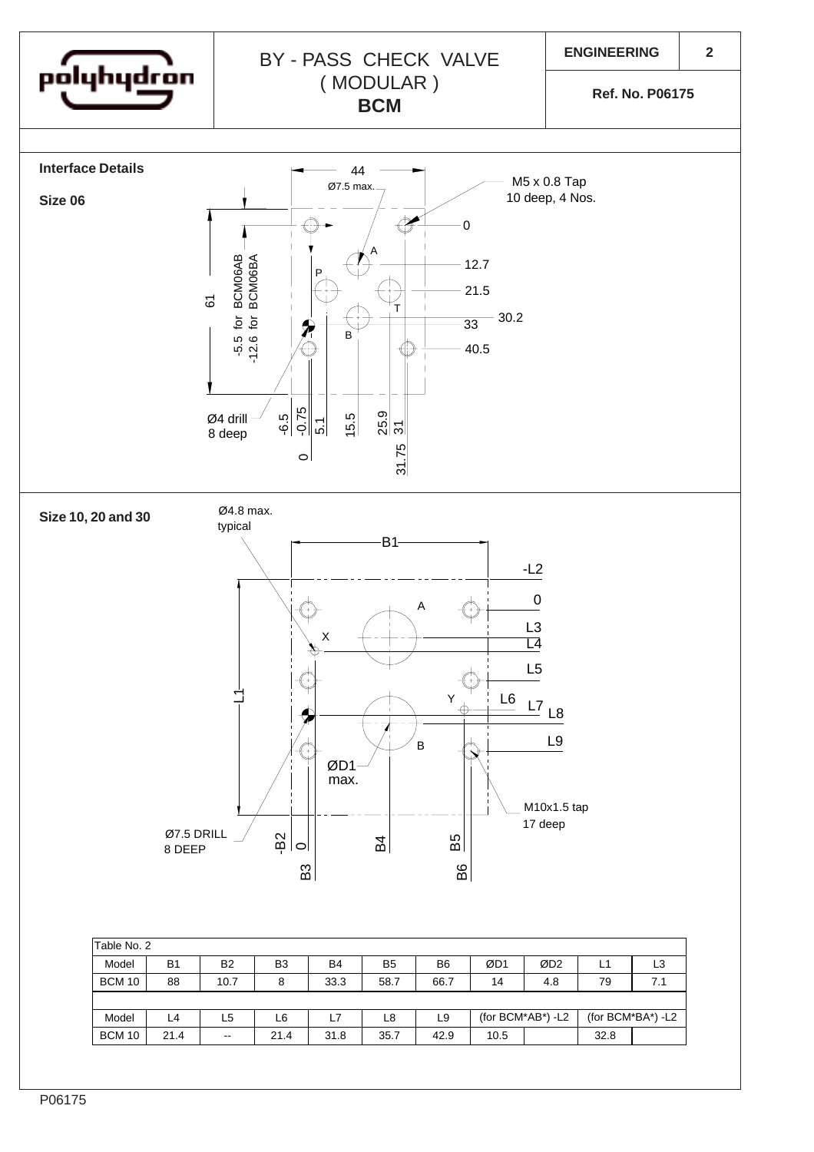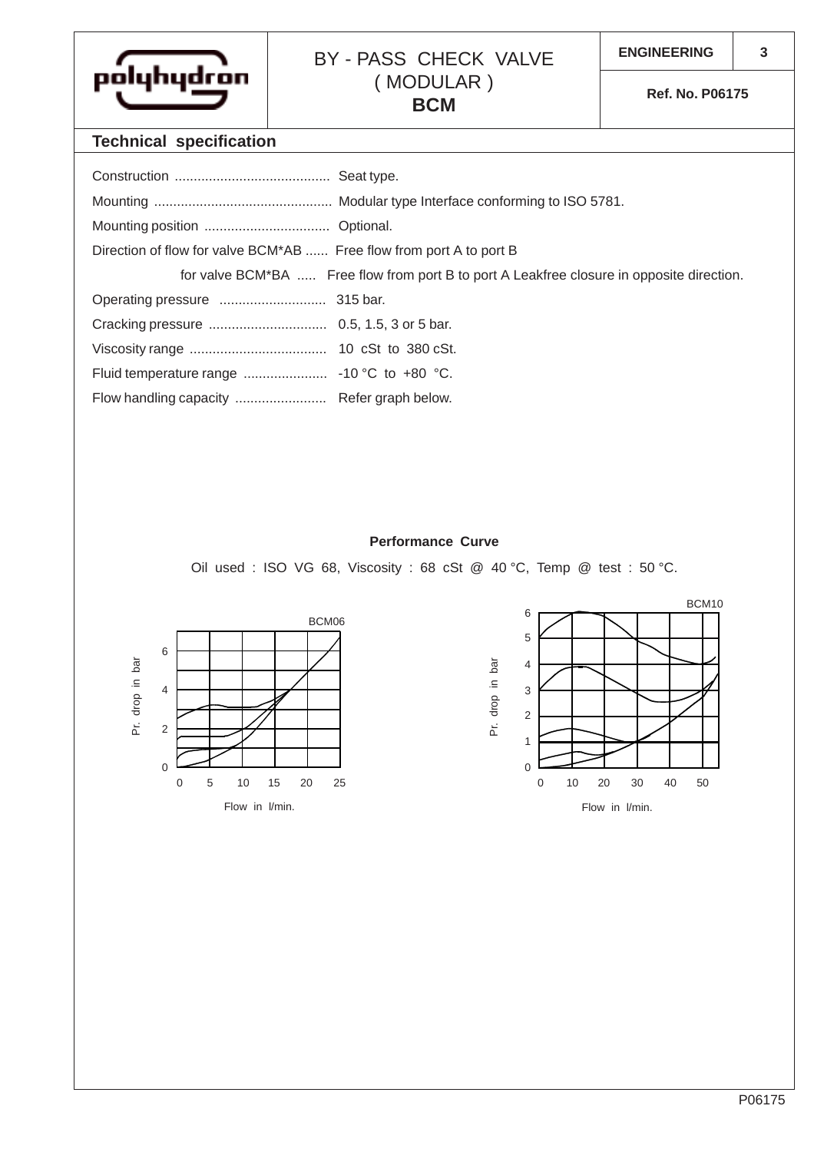

# BY - PASS CHECK VALVE | ENGINEERING ( MODULAR ) **BCM** Ref. No. P06175

## **Technical specification**

| Direction of flow for valve BCM*AB  Free flow from port A to port B |                                                                                           |
|---------------------------------------------------------------------|-------------------------------------------------------------------------------------------|
|                                                                     | for valve BCM*BA  Free flow from port B to port A Leakfree closure in opposite direction. |
|                                                                     |                                                                                           |
|                                                                     |                                                                                           |
|                                                                     |                                                                                           |
|                                                                     |                                                                                           |
|                                                                     |                                                                                           |

#### **Performance Curve**

Oil used : ISO VG 68, Viscosity : 68 cSt @ 40 °C, Temp @ test : 50 °C.